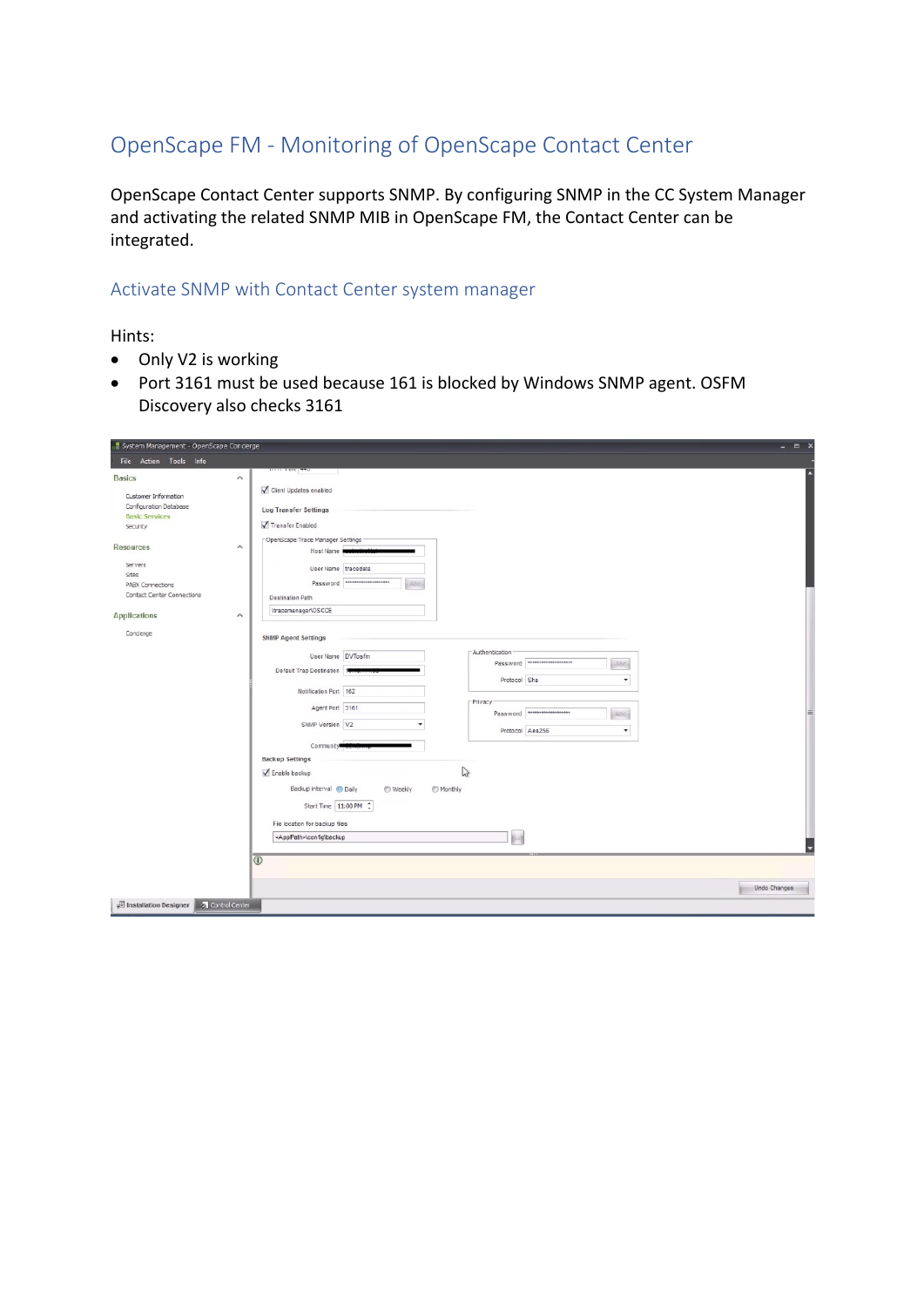## OpenScape FM - Monitoring of OpenScape Contact Center

OpenScape Contact Center supports SNMP. By configuring SNMP in the CC System Manager and activating the related SNMP MIB in OpenScape FM, the Contact Center can be integrated.

#### Activate SNMP with Contact Center system manager

Hints:

- Only V2 is working
- Port 3161 must be used because 161 is blocked by Windows SNMP agent. OSFM Discovery also checks 3161

| System Management - OpenScape Conclerge<br>File Action Tools Info                   |                                                                                                                         | X            |
|-------------------------------------------------------------------------------------|-------------------------------------------------------------------------------------------------------------------------|--------------|
| <b>Basics</b>                                                                       | $\wedge$<br>Client Updates enabled                                                                                      |              |
| Customer Information<br>Configuration Database<br><b>Basic Services</b><br>Security | Log Transfer Settings<br>Transfer Enabled                                                                               |              |
| <b>Resources</b>                                                                    | OpenScape Trace Manager Settings<br>$\hat{\phantom{1}}$<br>Host Name                                                    |              |
| Servers<br>Sites<br>PABX Connections                                                | User Name tracedata<br>Password THATHATHATHATHAT<br>Abo                                                                 |              |
| Contact Center Connections<br><b>Applications</b>                                   | <b>Destination Path</b><br>\tracemanager\OSCCE<br>$\wedge$                                                              |              |
| Concierge                                                                           | <b>SNMP Agent Settings</b><br>Authentication                                                                            |              |
|                                                                                     | User Name DVTosfm<br>Password <b>With Committee Password</b><br>Abc.<br>Default Trap Destination 1<br>Protocol Sha<br>۰ |              |
|                                                                                     | Notification Port 162<br>-Privacy<br>Agent Port 3161                                                                    |              |
|                                                                                     | Password <b>Processes</b><br>Abc<br>SNMP Version V2<br>Protocol Aes256<br>۰                                             |              |
|                                                                                     | Community <sup>®</sup><br><b>Backup Settings</b>                                                                        |              |
|                                                                                     | ↳<br>Enable backup<br>Backup interval @ Daily<br>◯ Weekly<br>Monthly                                                    |              |
|                                                                                     | Start Time 11:00 PM :<br>File location for backup files                                                                 |              |
|                                                                                     | <applpath>\config\backup<br/><math>\overline{0}</math></applpath>                                                       |              |
|                                                                                     |                                                                                                                         | Undo Changes |
| ↓□ Installation Designer <b>A</b> Control Center                                    |                                                                                                                         |              |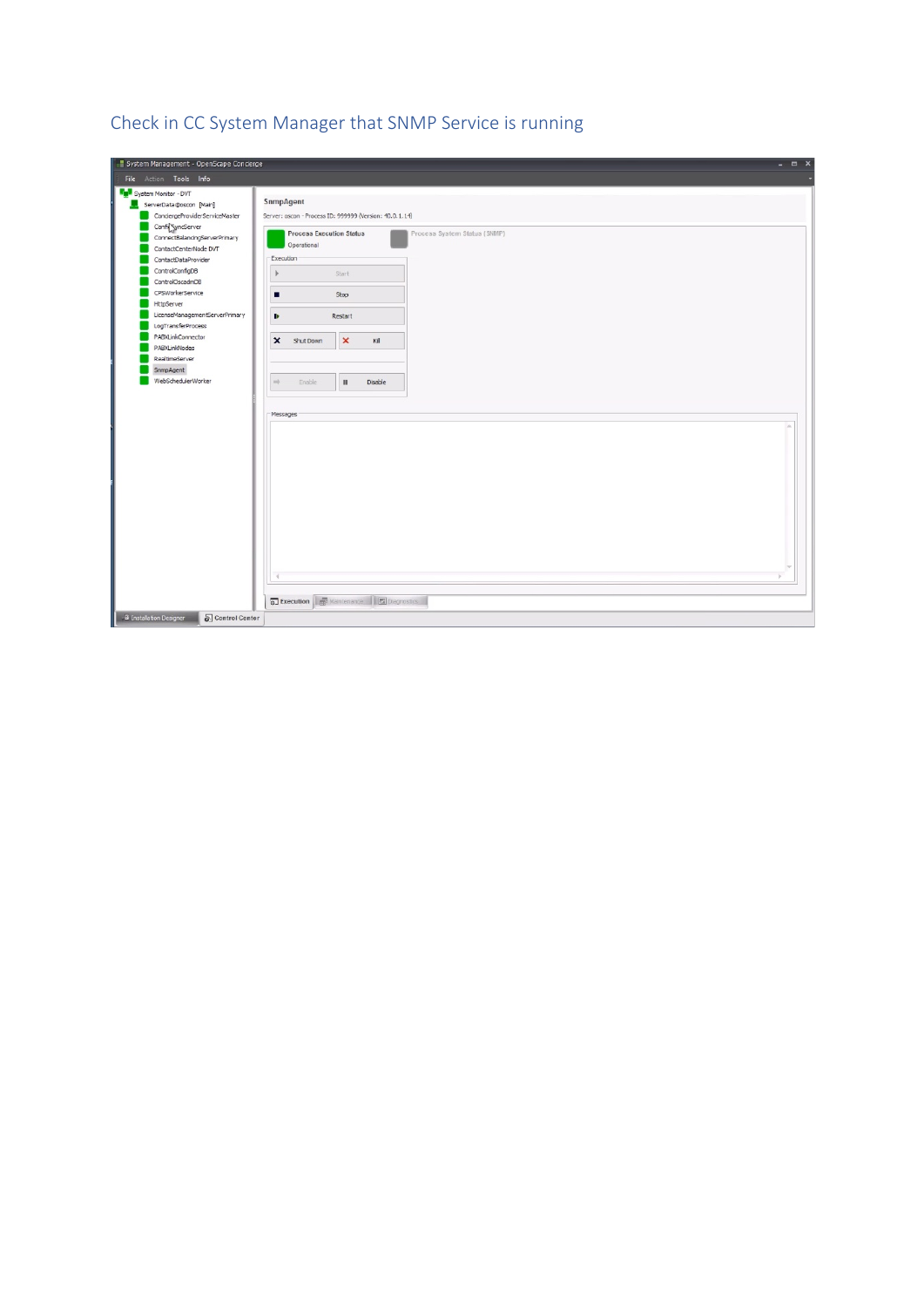| System Management - OpenScape Conclerge<br>$ =$ $x$                                                                                                                                                                      |
|--------------------------------------------------------------------------------------------------------------------------------------------------------------------------------------------------------------------------|
| File Action Tools Info                                                                                                                                                                                                   |
| System Monitor - DVT<br>SnmpAgent<br>ServerData@oscon [Main]<br>ConciergeProviderServiceMaster<br>Server: oscon - Process ID: 999999 (Version: 40.0.1.14)<br>Confi <sup>co</sup> gyncServer                              |
| <b>Process Execution Status</b><br>Process System Status (SNMP)<br>ConnectBalancingServerPrimary<br>Operational<br>ContactCenterNode DVT<br>Execution<br>ContactDataProvider<br>ControlConfigDB<br>Start<br>$\mathbb{R}$ |
| ControlOscadmDB<br>CPSWorkerService<br>Stop<br>п<br><b>HttpServer</b>                                                                                                                                                    |
| LicenseManagementServerPrimary<br>Restart<br>₽<br>LogTransferProcess<br>PABXLinkConnector<br>$\pmb{\times}$<br>$\boldsymbol{\mathsf{x}}$<br>Shut Down<br>Kill<br>PABXLinkNodes                                           |
| RealtimeServer<br>SnmpAgent<br>WebSchedulerWorker<br>$\Rightarrow$<br>Enable<br>$\scriptstyle\rm II$<br>Disable                                                                                                          |
| Messages                                                                                                                                                                                                                 |
| <b>a</b> Execution <b>de Maintenance a</b> Diagnostics                                                                                                                                                                   |
| B Installation Designer<br>Control Center                                                                                                                                                                                |

# Check in CC System Manager that SNMP Service is running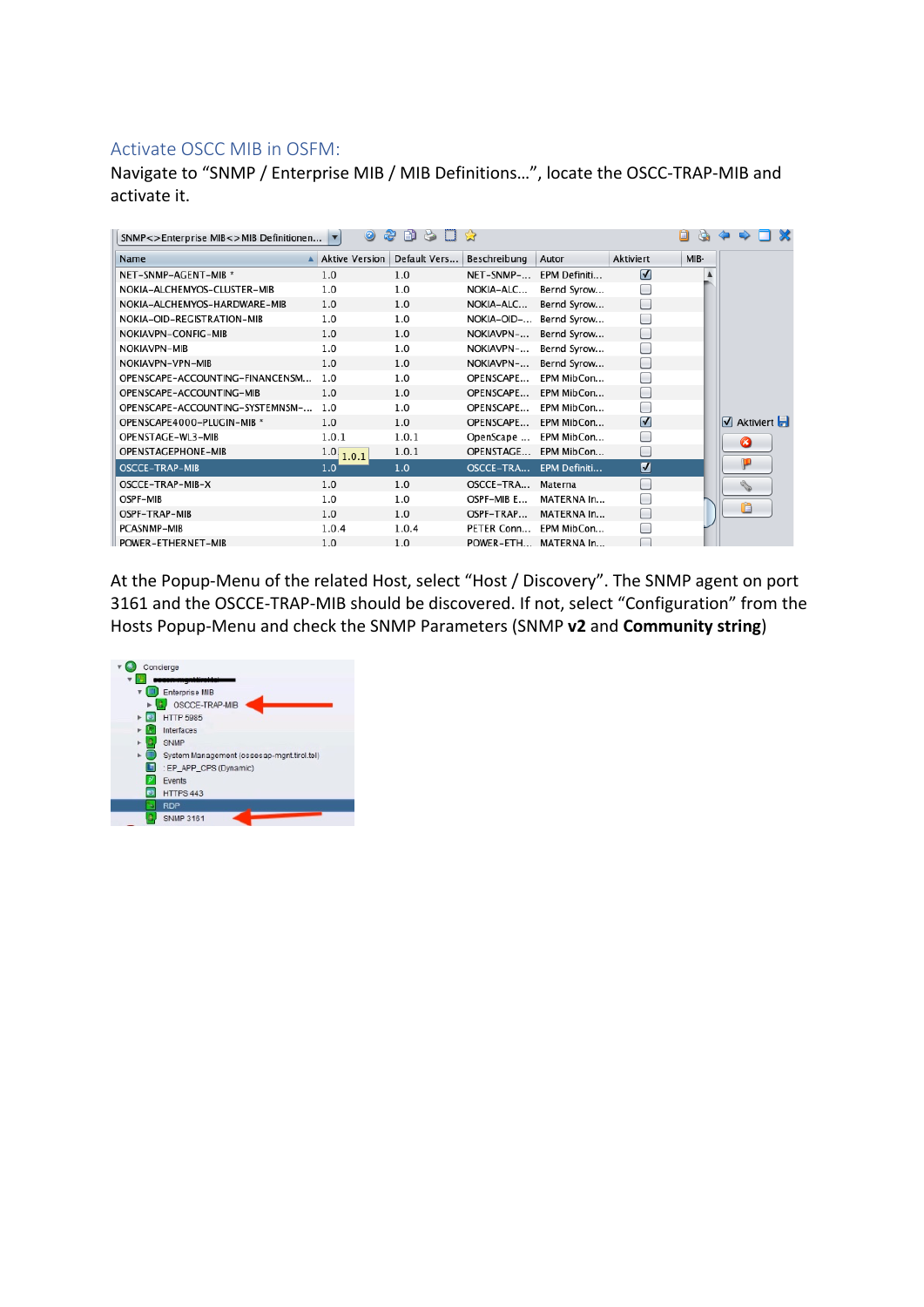### Activate OSCC MIB in OSFM:

Navigate to "SNMP / Enterprise MIB / MIB Definitions…", locate the OSCC-TRAP-MIB and activate it.

| SNMP<>Enterprise MIB<>MIB Definitionen ▼ | 0                     | Dù<br>$\mathbf{B}$<br>æ |              |              |                           | O<br>Ò. |                                                        |
|------------------------------------------|-----------------------|-------------------------|--------------|--------------|---------------------------|---------|--------------------------------------------------------|
| Name                                     | <b>Aktive Version</b> | Default Vers            | Beschreibung | Autor        | <b>Aktiviert</b>          | MIB-    |                                                        |
| NET-SNMP-AGENT-MIB *                     | 1.0                   | 1.0                     | NET-SNMP-    | EPM Definiti | $\sqrt{ }$                |         |                                                        |
| NOKIA-ALCHEMYOS-CLUSTER-MIB              | 1.0                   | 1.0                     | NOKIA-ALC    | Bernd Syrow  |                           |         |                                                        |
| NOKIA-ALCHEMYOS-HARDWARE-MIB             | 1.0                   | 1.0                     | NOKIA-ALC    | Bernd Syrow  |                           |         |                                                        |
| NOKIA-OID-REGISTRATION-MIB               | 1.0                   | 1.0                     | NOKIA-OID-   | Bernd Syrow  |                           |         |                                                        |
| NOKIAVPN-CONFIG-MIB                      | 1.0                   | 1.0                     | NOKIAVPN-    | Bernd Syrow  |                           |         |                                                        |
| <b>NOKIAVPN-MIB</b>                      | 1.0                   | 1.0                     | NOKIAVPN-    | Bernd Syrow  |                           |         |                                                        |
| NOKIAVPN-VPN-MIB                         | 1.0                   | 1.0                     | NOKIAVPN-    | Bernd Syrow  |                           |         |                                                        |
| OPENSCAPE-ACCOUNTING-FINANCENSM          | 1.0                   | 1.0                     | OPENSCAPE    | EPM MibCon   |                           |         |                                                        |
| OPENSCAPE-ACCOUNTING-MIB                 | 1.0                   | 1.0                     | OPENSCAPE    | EPM MibCon   |                           |         |                                                        |
| OPENSCAPE-ACCOUNTING-SYSTEMNSM-          | 1.0                   | 1.0                     | OPENSCAPE    | EPM MibCon   |                           |         |                                                        |
| OPENSCAPE4000-PLUGIN-MIB *               | 1.0                   | 1.0                     | OPENSCAPE    | EPM MibCon   | $\boldsymbol{\mathsf{U}}$ |         | Aktiviert                                              |
| OPENSTAGE-WL3-MIB                        | 1.0.1                 | 1.0.1                   | OpenScape    | EPM MibCon   |                           |         | Ø                                                      |
| OPENSTAGEPHONE-MIB                       | 1.0, 1.0.1            | 1.0.1                   | OPENSTAGE    | EPM MibCon   |                           |         |                                                        |
| OSCCE-TRAP-MIB                           | 1.0                   | 1.0                     | OSCCE-TRA    | EPM Definiti | M                         |         | ρ                                                      |
| OSCCE-TRAP-MIB-X                         | 1.0                   | 1.0                     | OSCCE-TRA    | Materna      |                           |         | $\mathcal{L}_{\mathcal{P}}^{\mathcal{P}}(\mathcal{P})$ |
| OSPF-MIB                                 | 1.0                   | 1.0                     | OSPF-MIB E   | MATERNA In   |                           |         |                                                        |
| OSPF-TRAP-MIB                            | 1.0                   | 1.0                     | OSPF-TRAP    | MATERNA In   |                           |         | ĥ                                                      |
| PCASNMP-MIB                              | 1.0.4                 | 1.0.4                   | PETER Conn   | EPM MibCon   |                           |         |                                                        |
| POWER-ETHERNET-MIB                       | 1.0                   | 1.0                     | POWER-ETH    | MATERNA In   |                           |         |                                                        |

At the Popup-Menu of the related Host, select "Host / Discovery". The SNMP agent on port 3161 and the OSCCE-TRAP-MIB should be discovered. If not, select "Configuration" from the Hosts Popup-Menu and check the SNMP Parameters (SNMP **v2** and **Community string**)